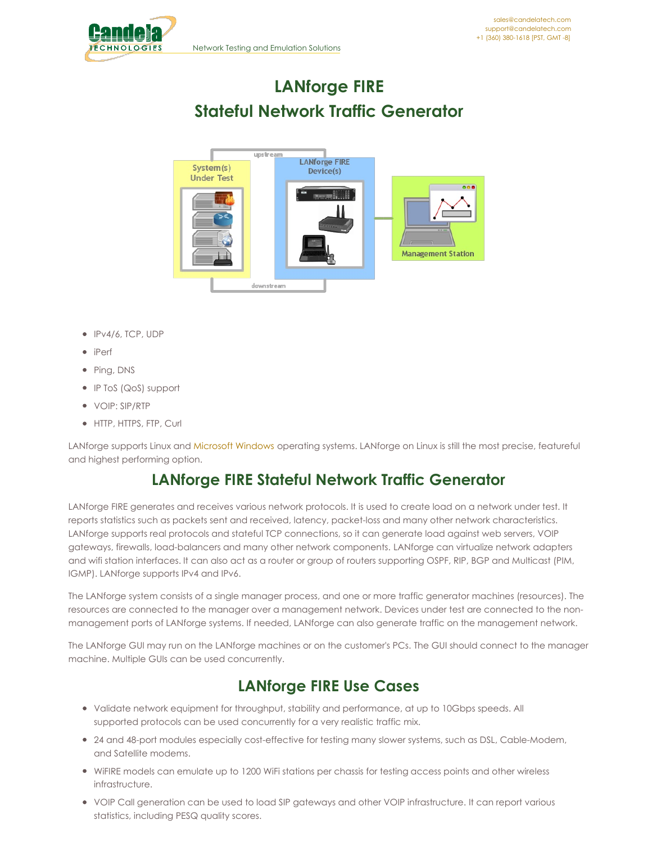<span id="page-0-0"></span>

# **LANforge FIRE Stateful Network Traffic Generator**



- IPv4/6, TCP, UDP
- iPerf
- Ping, DNS
- IP ToS (QoS) support
- VOIP: SIP/RTP
- HTTP, HTTPS, FTP, Curl

LANforge supports Linux and [Microsoft](#page-0-0) Windows operating systems. LANforge on Linux is still the most precise, featureful and highest performing option.

# **LANforge FIRE Stateful Network Traffic Generator**

LANforge FIRE generates and receives various network protocols. It is used to create load on a network under test. It reports statistics such as packets sent and received, latency, packet-loss and many other network characteristics. LANforge supports real protocols and stateful TCP connections, so it can generate load against web servers, VOIP gateways, firewalls, load-balancers and many other network components. LANforge can virtualize network adapters and wifi station interfaces. It can also act as a router or group of routers supporting OSPF, RIP, BGP and Multicast (PIM, IGMP). LANforge supports IPv4 and IPv6.

The LANforge system consists of a single manager process, and one or more traffic generator machines (resources). The resources are connected to the manager over a management network. Devices under test are connected to the nonmanagement ports of LANforge systems. If needed, LANforge can also generate traffic on the management network.

The LANforge GUI may run on the LANforge machines or on the customer's PCs. The GUI should connect to the manager machine. Multiple GUIs can be used concurrently.

# **LANforge FIRE Use Cases**

- Validate network equipment for throughput, stability and performance, at up to 10Gbps speeds. All supported protocols can be used concurrently for a very realistic traffic mix.
- 24 and 48-port modules especially cost-effective for testing many slower systems, such as DSL, Cable-Modem, and Satellite modems.
- WiFIRE models can emulate up to 1200 WiFi stations per chassis for testing access points and other wireless infrastructure.
- VOIP Call generation can be used to load SIP gateways and other VOIP infrastructure. It can report various statistics, including PESQ quality scores.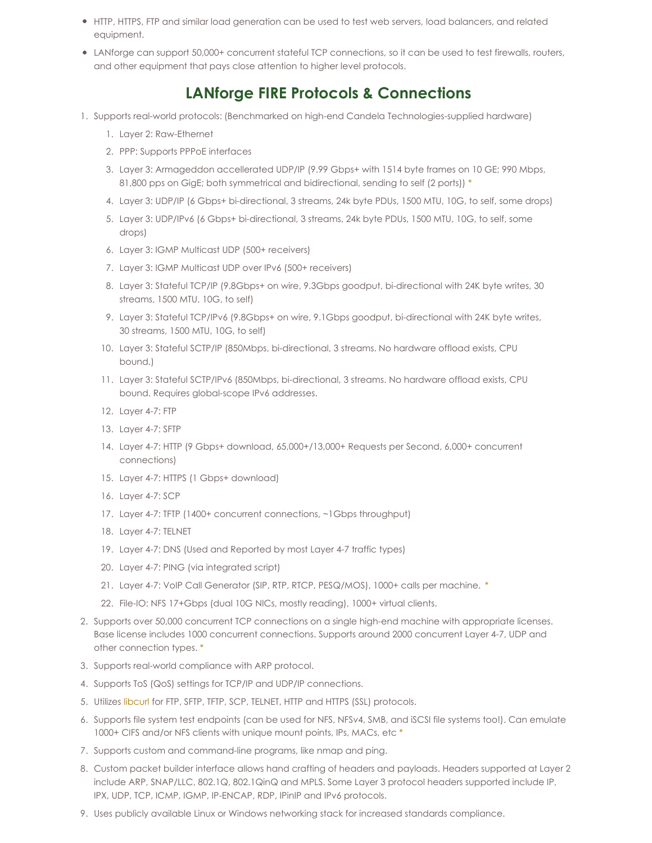- HTTP, HTTPS, FTP and similar load generation can be used to test web servers, load balancers, and related equipment.
- LANforge can support 50,000+ concurrent stateful TCP connections, so it can be used to test firewalls, routers, and other equipment that pays close attention to higher level protocols.

# **LANforge FIRE Protocols & Connections**

- 1. Supports real-world protocols: (Benchmarked on high-end Candela Technologies-supplied hardware)
	- 1. Layer 2: Raw-Ethernet
	- 2. PPP: Supports PPPoE interfaces
	- 3. Layer 3: Armageddon accellerated UDP/IP (9.99 Gbps+ with 1514 byte frames on 10 GE; 990 Mbps, 81,800 pps on GigE; both symmetrical and bidirectional, sending to self (2 ports)) [\\*](#page-0-0)
	- 4. Layer 3: UDP/IP (6 Gbps+ bi-directional, 3 streams, 24k byte PDUs, 1500 MTU, 10G, to self, some drops)
	- 5. Layer 3: UDP/IPv6 (6 Gbps+ bi-directional, 3 streams, 24k byte PDUs, 1500 MTU, 10G, to self, some drops)
	- 6. Layer 3: IGMP Multicast UDP (500+ receivers)
	- 7. Layer 3: IGMP Multicast UDP over IPv6 (500+ receivers)
	- 8. Layer 3: Stateful TCP/IP (9.8Gbps+ on wire, 9.3Gbps goodput, bi-directional with 24K byte writes, 30 streams, 1500 MTU, 10G, to self)
	- 9. Layer 3: Stateful TCP/IPv6 (9.8Gbps+ on wire, 9.1Gbps goodput, bi-directional with 24K byte writes, 30 streams, 1500 MTU, 10G, to self)
	- 10. Layer 3: Stateful SCTP/IP (850Mbps, bi-directional, 3 streams. No hardware offload exists, CPU bound.)
	- 11. Layer 3: Stateful SCTP/IPv6 (850Mbps, bi-directional, 3 streams. No hardware offload exists, CPU bound. Requires global-scope IPv6 addresses.
	- 12. Layer 4-7: FTP
	- 13. Layer 4-7: SFTP
	- 14. Layer 4-7: HTTP (9 Gbps+ download, 65,000+/13,000+ Requests per Second, 6,000+ concurrent connections)
	- 15. Layer 4-7: HTTPS (1 Gbps+ download)
	- 16. Layer 4-7: SCP
	- 17. Layer 4-7: TFTP (1400+ concurrent connections, ~1Gbps throughput)
	- 18. Layer 4-7: TELNET
	- 19. Layer 4-7: DNS (Used and Reported by most Layer 4-7 traffic types)
	- 20. Layer 4-7: PING (via integrated script)
	- 21. Layer 4-7: VoIP Call Generator (SIP, RTP, RTCP, PESQ/MOS), 1000+ calls per machine. [\\*](#page-0-0)
	- 22. File-IO: NFS 17+Gbps (dual 10G NICs, mostly reading), 1000+ virtual clients.
- 2. Supports over 50,000 concurrent TCP connections on a single high-end machine with appropriate licenses. Base license includes 1000 concurrent connections. Supports around 2000 concurrent Layer 4-7, UDP and other connection types. [\\*](#page-0-0)
- 3. Supports real-world compliance with ARP protocol.
- 4. Supports ToS (QoS) settings for TCP/IP and UDP/IP connections.
- 5. Utilizes [libcurl](http://curl.haxx.se/libcurl/) for FTP, SFTP, TFTP, SCP, TELNET, HTTP and HTTPS (SSL) protocols.
- 6. Supports file system test endpoints (can be used for NFS, NFSv4, SMB, and iSCSI file systems too!). Can emulate 1000+ CIFS and/or NFS clients with unique mount points, IPs, MACs, etc [\\*](#page-0-0)
- 7. Supports custom and command-line programs, like nmap and ping.
- 8. Custom packet builder interface allows hand crafting of headers and payloads. Headers supported at Layer 2 include ARP, SNAP/LLC, 802.1Q, 802.1QinQ and MPLS. Some Layer 3 protocol headers supported include IP, IPX, UDP, TCP, ICMP, IGMP, IP-ENCAP, RDP, IPinIP and IPv6 protocols.
- 9. Uses publicly available Linux or Windows networking stack for increased standards compliance.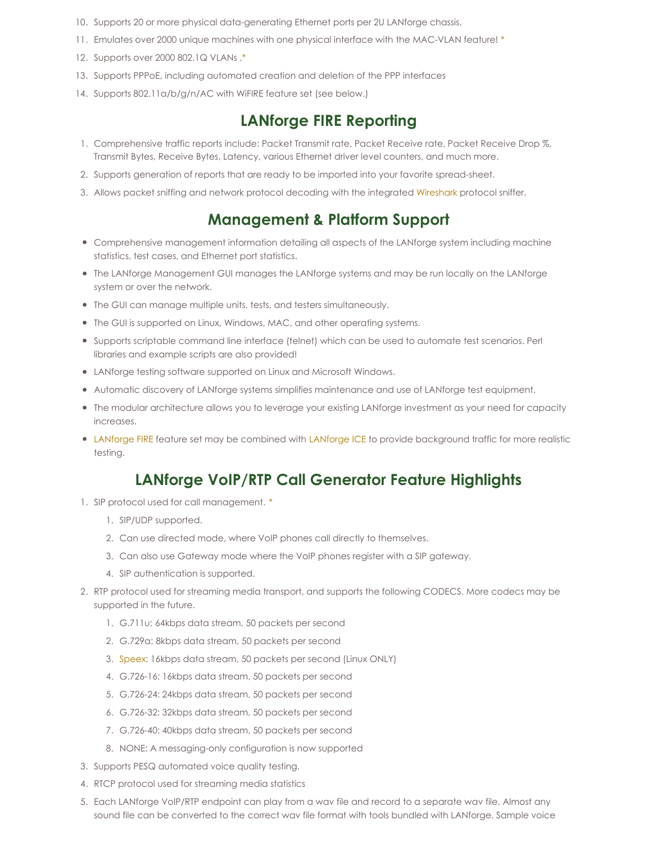- 10. Supports 20 or more physical data-generating Ethernet ports per 2U LANforge chassis.
- 11. Emulates over 2000 unique machines with one physical interface with the MAC-VLAN feature! [\\*](#page-0-0)
- 12. Supports over 2000 802.1Q VLANs [.\\*](#page-0-0)
- 13. Supports PPPoE, including automated creation and deletion of the PPP interfaces
- 14. Supports 802.11a/b/g/n/AC with WiFIRE feature set (see below.)

#### **LANforge FIRE Reporting**

- 1. Comprehensive traffic reports include: Packet Transmit rate, Packet Receive rate, Packet Receive Drop %, Transmit Bytes, Receive Bytes, Latency, various Ethernet driver level counters, and much more.
- 2. Supports generation of reports that are ready to be imported into your favorite spread-sheet.
- 3. Allows packet sniffing and network protocol decoding with the integrated [Wireshark](http://www.wireshark.org) protocol sniffer.

#### **Management & Platform Support**

- Comprehensive management information detailing all aspects of the LANforge system including machine statistics, test cases, and Ethernet port statistics.
- The LANforge Management GUI manages the LANforge systems and may be run locally on the LANforge system or over the network.
- The GUI can manage multiple units, tests, and testers simultaneously.
- The GUI is supported on Linux, Windows, MAC, and other operating systems.
- Supports scriptable command line interface (telnet) which can be used to automate test scenarios. Perl libraries and example scripts are also provided!
- LANforge testing software supported on Linux and Microsoft Windows.
- Automatic discovery of LANforge systems simplifies maintenance and use of LANforge test equipment.
- The modular architecture allows you to leverage your existing LANforge investment as your need for capacity increases.
- [LANforge](http://www.candelatech.com/datasheet_ice.php) FIRE feature set may be combined with LANforge ICE to provide background traffic for more realistic testing.

# **LANforge VoIP/RTP Call Generator Feature Highlights**

- 1. SIP protocol used for call management. [\\*](#page-0-0)
	- 1. SIP/UDP supported.
	- 2. Can use directed mode, where VoIP phones call directly to themselves.
	- 3. Can also use Gateway mode where the VoIP phones register with a SIP gateway.
	- 4. SIP authentication is supported.
- 2. RTP protocol used for streaming media transport, and supports the following CODECS. More codecs may be supported in the future.
	- 1. G.711u: 64kbps data stream, 50 packets per second
	- 2. G.729a: 8kbps data stream, 50 packets per second
	- 3. [Speex](http://www.speex.org): 16kbps data stream, 50 packets per second (Linux ONLY)
	- 4. G.726-16: 16kbps data stream, 50 packets per second
	- 5. G.726-24: 24kbps data stream, 50 packets per second
	- 6. G.726-32: 32kbps data stream, 50 packets per second
	- 7. G.726-40: 40kbps data stream, 50 packets per second
	- 8. NONE: A messaging-only configuration is now supported
- 3. Supports PESQ automated voice quality testing.
- 4. RTCP protocol used for streaming media statistics
- 5. Each LANforge VoIP/RTP endpoint can play from a wav file and record to a separate wav file. Almost any sound file can be converted to the correct wav file format with tools bundled with LANforge. Sample voice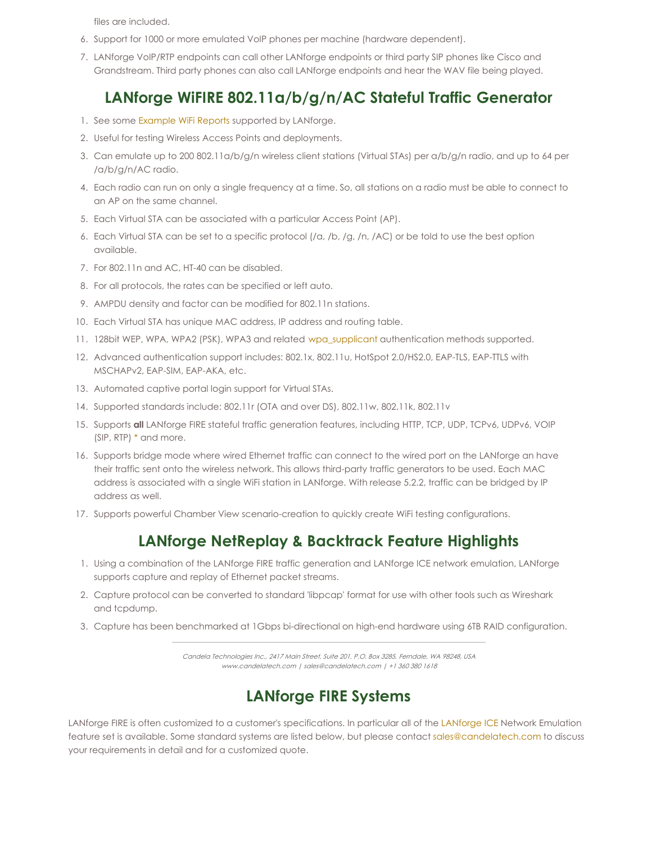files are included.

- 6. Support for 1000 or more emulated VoIP phones per machine (hardware dependent).
- 7. LANforge VoIP/RTP endpoints can call other LANforge endpoints or third party SIP phones like Cisco and Grandstream. Third party phones can also call LANforge endpoints and hear the WAV file being played.

# **LANforge WiFIRE 802.11a/b/g/n/AC Stateful Traffic Generator**

- 1. See some [Example](http://www.candelatech.com/lf_wifi_reports.php) WiFi Reports supported by LANforge.
- 2. Useful for testing Wireless Access Points and deployments.
- 3. Can emulate up to 200 802.11a/b/g/n wireless client stations (Virtual STAs) per a/b/g/n radio, and up to 64 per /a/b/g/n/AC radio.
- 4. Each radio can run on only a single frequency at a time. So, all stations on a radio must be able to connect to an AP on the same channel.
- 5. Each Virtual STA can be associated with a particular Access Point (AP).
- 6. Each Virtual STA can be set to a specific protocol (/a, /b, /g, /n, /AC) or be told to use the best option available.
- 7. For 802.11n and AC, HT-40 can be disabled.
- 8. For all protocols, the rates can be specified or left auto.
- 9. AMPDU density and factor can be modified for 802.11n stations.
- 10. Each Virtual STA has unique MAC address, IP address and routing table.
- 11. 128bit WEP, WPA, WPA2 (PSK), WPA3 and related [wpa\\_supplicant](http://en.wikipedia.org/wiki/Wpa_supplicant) authentication methods supported.
- 12. Advanced authentication support includes: 802.1x, 802.11u, HotSpot 2.0/HS2.0, EAP-TLS, EAP-TTLS with MSCHAPv2, EAP-SIM, EAP-AKA, etc.
- 13. Automated captive portal login support for Virtual STAs.
- 14. Supported standards include: 802.11r (OTA and over DS), 802.11w, 802.11k, 802.11v
- 15. Supports **all** LANforge FIRE stateful traffic generation features, including HTTP, TCP, UDP, TCPv6, UDPv6, VOIP (SIP, RTP) [\\*](#page-0-0) and more.
- 16. Supports bridge mode where wired Ethernet traffic can connect to the wired port on the LANforge an have their traffic sent onto the wireless network. This allows third-party traffic generators to be used. Each MAC address is associated with a single WiFi station in LANforge. With release 5.2.2, traffic can be bridged by IP address as well.
- 17. Supports powerful Chamber View scenario-creation to quickly create WiFi testing configurations.

## **LANforge NetReplay & Backtrack Feature Highlights**

- 1. Using a combination of the LANforge FIRE traffic generation and LANforge ICE network emulation, LANforge supports capture and replay of Ethernet packet streams.
- 2. Capture protocol can be converted to standard 'libpcap' format for use with other tools such as Wireshark and tcpdump.
- 3. Capture has been benchmarked at 1Gbps bi-directional on high-end hardware using 6TB RAID configuration.

Candela Technologies Inc., 2417 Main Street, Suite 201, P.O. Box 3285, Ferndale, WA 98248, USA www.candelatech.com | sales@candelatech.com | +1 360 380 1618

# **LANforge FIRE Systems**

[LANforge](http://www.candelatech.com/datasheet_ice.php) FIRE is often customized to a customer's specifications. In particular all of the LANforge ICE Network Emulation feature set is available. Some standard systems are listed below, but please contact [sales@candelatech.com](mailto:sales@candelatech.com) to discuss your requirements in detail and for a customized quote.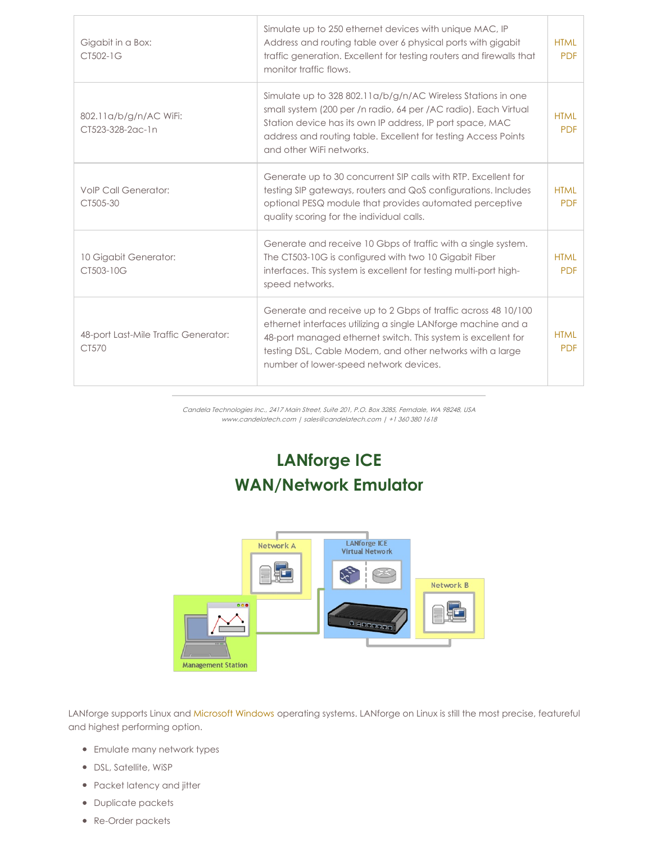| Gigabit in a Box:<br>CT502-1G                 | Simulate up to 250 ethernet devices with unique MAC, IP<br>Address and routing table over 6 physical ports with gigabit<br>traffic generation. Excellent for testing routers and firewalls that<br>monitor traffic flows.                                                                              | <b>HTML</b><br><b>PDF</b> |
|-----------------------------------------------|--------------------------------------------------------------------------------------------------------------------------------------------------------------------------------------------------------------------------------------------------------------------------------------------------------|---------------------------|
| 802.11a/b/g/n/AC WiFi:<br>CT523-328-2ac-1n    | Simulate up to 328 802.11a/b/g/n/AC Wireless Stations in one<br>small system (200 per /n radio, 64 per /AC radio). Each Virtual<br>Station device has its own IP address, IP port space, MAC<br>address and routing table. Excellent for testing Access Points<br>and other WiFi networks.             | <b>HTMI</b><br><b>PDF</b> |
| <b>VolP Call Generator:</b><br>CT505-30       | Generate up to 30 concurrent SIP calls with RTP. Excellent for<br>testing SIP gateways, routers and QoS configurations. Includes<br>optional PESQ module that provides automated perceptive<br>quality scoring for the individual calls.                                                               | <b>HTML</b><br><b>PDF</b> |
| 10 Gigabit Generator:<br>CT503-10G            | Generate and receive 10 Gbps of traffic with a single system.<br>The CT503-10G is configured with two 10 Gigabit Fiber<br>interfaces. This system is excellent for testing multi-port high-<br>speed networks.                                                                                         | <b>HTMI</b><br><b>PDF</b> |
| 48-port Last-Mile Traffic Generator:<br>CT570 | Generate and receive up to 2 Gbps of traffic across 48 10/100<br>ethernet interfaces utilizing a single LANforge machine and a<br>48-port managed ethernet switch. This system is excellent for<br>testing DSL, Cable Modem, and other networks with a large<br>number of lower-speed network devices. | <b>HTMI</b><br><b>PDF</b> |

Candela Technologies Inc., 2417 Main Street, Suite 201, P.O. Box 3285, Ferndale, WA 98248, USA www.candelatech.com | sales@candelatech.com | +1 360 380 1618

# **LANforge ICE WAN/Network Emulator**



LANforge supports Linux and [Microsoft](#page-0-0) Windows operating systems. LANforge on Linux is still the most precise, featureful and highest performing option.

- Emulate many network types
- DSL, Satellite, WiSP
- Packet latency and jitter
- Duplicate packets
- Re-Order packets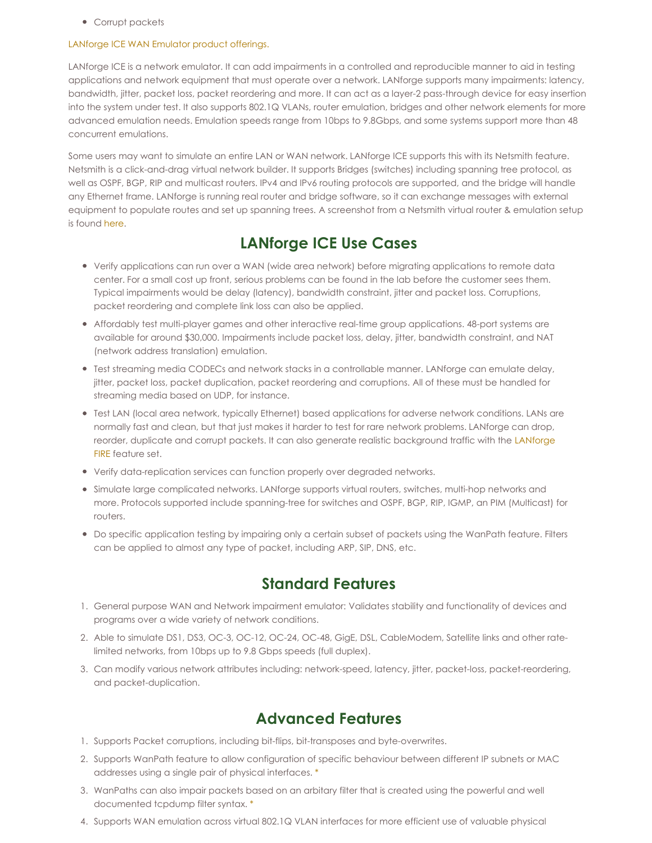• Corrupt packets

#### [LANforge](http://www.candelatech.com/network_impairment_products.php) ICE WAN Emulator product offerings.

LANforge ICE is a network emulator. It can add impairments in a controlled and reproducible manner to aid in testing applications and network equipment that must operate over a network. LANforge supports many impairments: latency, bandwidth, jitter, packet loss, packet reordering and more. It can act as a layer-2 pass-through device for easy insertion into the system under test. It also supports 802.1Q VLANs, router emulation, bridges and other network elements for more advanced emulation needs. Emulation speeds range from 10bps to 9.8Gbps, and some systems support more than 48 concurrent emulations.

Some users may want to simulate an entire LAN or WAN network. LANforge ICE supports this with its Netsmith feature. Netsmith is a click-and-drag virtual network builder. It supports Bridges (switches) including spanning tree protocol, as well as OSPF, BGP, RIP and multicast routers. IPv4 and IPv6 routing protocols are supported, and the bridge will handle any Ethernet frame. LANforge is running real router and bridge software, so it can exchange messages with external equipment to populate routes and set up spanning trees. A screenshot from a Netsmith virtual router & emulation setup is found [here](http://www.candelatech.com/images/ct970-48-hi.png).

# **LANforge ICE Use Cases**

- Verify applications can run over a WAN (wide area network) before migrating applications to remote data center. For a small cost up front, serious problems can be found in the lab before the customer sees them. Typical impairments would be delay (latency), bandwidth constraint, jitter and packet loss. Corruptions, packet reordering and complete link loss can also be applied.
- Affordably test multi-player games and other interactive real-time group applications. 48-port systems are available for around \$30,000. Impairments include packet loss, delay, jitter, bandwidth constraint, and NAT (network address translation) emulation.
- Test streaming media CODECs and network stacks in a controllable manner. LANforge can emulate delay, jitter, packet loss, packet duplication, packet reordering and corruptions. All of these must be handled for streaming media based on UDP, for instance.
- Test LAN (local area network, typically Ethernet) based applications for adverse network conditions. LANs are normally fast and clean, but that just makes it harder to test for rare network problems. LANforge can drop, reorder, duplicate and corrupt packets. It can also generate realistic [background](http://www.candelatech.com/datasheet_fire.php) traffic with the LANforge FIRE feature set.
- Verify data-replication services can function properly over degraded networks.
- Simulate large complicated networks. LANforge supports virtual routers, switches, multi-hop networks and more. Protocols supported include spanning-tree for switches and OSPF, BGP, RIP, IGMP, an PIM (Multicast) for routers.
- Do specific application testing by impairing only a certain subset of packets using the WanPath feature. Filters can be applied to almost any type of packet, including ARP, SIP, DNS, etc.

## **Standard Features**

- 1. General purpose WAN and Network impairment emulator: Validates stability and functionality of devices and programs over a wide variety of network conditions.
- 2. Able to simulate DS1, DS3, OC-3, OC-12, OC-24, OC-48, GigE, DSL, CableModem, Satellite links and other ratelimited networks, from 10bps up to 9.8 Gbps speeds (full duplex).
- 3. Can modify various network attributes including: network-speed, latency, jitter, packet-loss, packet-reordering, and packet-duplication.

## **Advanced Features**

- 1. Supports Packet corruptions, including bit-flips, bit-transposes and byte-overwrites.
- 2. Supports WanPath feature to allow configuration of specific behaviour between different IP subnets or MAC addresses using a single pair of physical interfaces. [\\*](#page-0-0)
- 3. WanPaths can also impair packets based on an arbitary filter that is created using the powerful and well documented tcpdump filter syntax. [\\*](#page-0-0)
- 4. Supports WAN emulation across virtual 802.1Q VLAN interfaces for more efficient use of valuable physical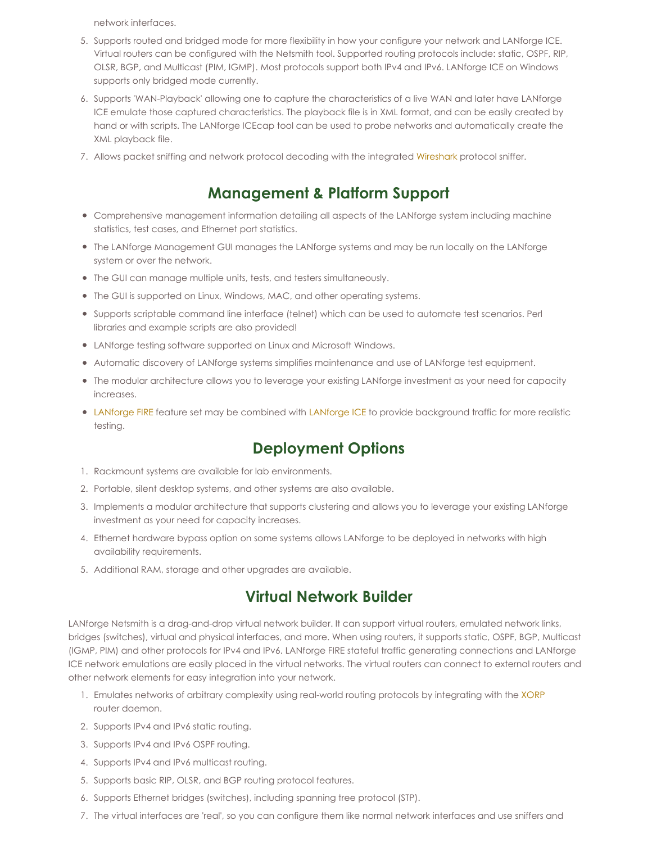network interfaces.

- 5. Supports routed and bridged mode for more flexibility in how your configure your network and LANforge ICE. Virtual routers can be configured with the Netsmith tool. Supported routing protocols include: static, OSPF, RIP, OLSR, BGP, and Multicast (PIM, IGMP). Most protocols support both IPv4 and IPv6. LANforge ICE on Windows supports only bridged mode currently.
- 6. Supports 'WAN-Playback' allowing one to capture the characteristics of a live WAN and later have LANforge ICE emulate those captured characteristics. The playback file is in XML format, and can be easily created by hand or with scripts. The LANforge ICEcap tool can be used to probe networks and automatically create the XML playback file.
- 7. Allows packet sniffing and network protocol decoding with the integrated [Wireshark](http://www.wireshark.org) protocol sniffer.

# **Management & Platform Support**

- Comprehensive management information detailing all aspects of the LANforge system including machine statistics, test cases, and Ethernet port statistics.
- The LANforge Management GUI manages the LANforge systems and may be run locally on the LANforge system or over the network.
- The GUI can manage multiple units, tests, and testers simultaneously.
- The GUI is supported on Linux, Windows, MAC, and other operating systems.
- Supports scriptable command line interface (telnet) which can be used to automate test scenarios. Perl libraries and example scripts are also provided!
- LANforge testing software supported on Linux and Microsoft Windows.
- Automatic discovery of LANforge systems simplifies maintenance and use of LANforge test equipment.
- The modular architecture allows you to leverage your existing LANforge investment as your need for capacity increases.
- [LANforge](http://www.candelatech.com/datasheet_ice.php) FIRE feature set may be combined with LANforge ICE to provide background traffic for more realistic testing.

## **Deployment Options**

- 1. Rackmount systems are available for lab environments.
- 2. Portable, silent desktop systems, and other systems are also available.
- 3. Implements a modular architecture that supports clustering and allows you to leverage your existing LANforge investment as your need for capacity increases.
- 4. Ethernet hardware bypass option on some systems allows LANforge to be deployed in networks with high availability requirements.
- 5. Additional RAM, storage and other upgrades are available.

## **Virtual Network Builder**

LANforge Netsmith is a drag-and-drop virtual network builder. It can support virtual routers, emulated network links, bridges (switches), virtual and physical interfaces, and more. When using routers, it supports static, OSPF, BGP, Multicast (IGMP, PIM) and other protocols for IPv4 and IPv6. LANforge FIRE stateful traffic generating connections and LANforge ICE network emulations are easily placed in the virtual networks. The virtual routers can connect to external routers and other network elements for easy integration into your network.

- 1. Emulates networks of arbitrary complexity using real-world routing protocols by integrating with the [XORP](http://www.xorp.org) router daemon.
- 2. Supports IPv4 and IPv6 static routing.
- 3. Supports IPv4 and IPv6 OSPF routing.
- 4. Supports IPv4 and IPv6 multicast routing.
- 5. Supports basic RIP, OLSR, and BGP routing protocol features.
- 6. Supports Ethernet bridges (switches), including spanning tree protocol (STP).
- 7. The virtual interfaces are 'real', so you can configure them like normal network interfaces and use sniffers and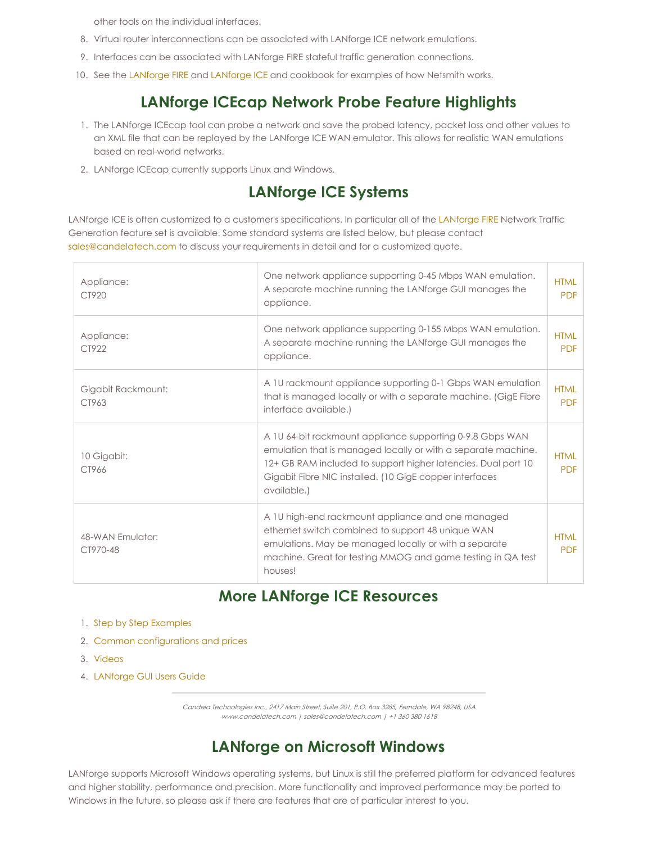other tools on the individual interfaces.

- 8. Virtual router interconnections can be associated with LANforge ICE network emulations.
- 9. Interfaces can be associated with LANforge FIRE stateful traffic generation connections.
- 10. See the [LANforge](http://www.candelatech.com/lfgui_ice_cookbook.php) FIRE and LANforge ICE and cookbook for examples of how Netsmith works.

# **LANforge ICEcap Network Probe Feature Highlights**

- 1. The LANforge ICEcap tool can probe a network and save the probed latency, packet loss and other values to an XML file that can be replayed by the LANforge ICE WAN emulator. This allows for realistic WAN emulations based on real-world networks.
- 2. LANforge ICEcap currently supports Linux and Windows.

#### **LANforge ICE Systems**

LANforge ICE is often customized to a customer's specifications. In particular all of the [LANforge](http://www.candelatech.com/datasheet_fire.php) FIRE Network Traffic Generation feature set is available. Some standard systems are listed below, but please contact [sales@candelatech.com](mailto:sales@candelatech.com) to discuss your requirements in detail and for a customized quote.

| Appliance:<br>CT920          | One network appliance supporting 0-45 Mbps WAN emulation.<br>A separate machine running the LANforge GUI manages the<br>appliance.                                                                                                                                    | <b>HTML</b><br><b>PDF</b> |
|------------------------------|-----------------------------------------------------------------------------------------------------------------------------------------------------------------------------------------------------------------------------------------------------------------------|---------------------------|
| Appliance:<br>CT922          | One network appliance supporting 0-155 Mbps WAN emulation.<br>A separate machine running the LANforge GUI manages the<br>appliance.                                                                                                                                   | <b>HTML</b><br><b>PDF</b> |
| Gigabit Rackmount:<br>CT963  | A 1U rackmount appliance supporting 0-1 Gbps WAN emulation<br>that is managed locally or with a separate machine. (GigE Fibre<br>interface available.)                                                                                                                | <b>HTML</b><br><b>PDF</b> |
| 10 Gigabit:<br>CT966         | A 1U 64-bit rackmount appliance supporting 0-9.8 Gbps WAN<br>emulation that is managed locally or with a separate machine.<br>12+ GB RAM included to support higher latencies. Dual port 10<br>Gigabit Fibre NIC installed. (10 GigE copper interfaces<br>available.) | <b>HTML</b><br><b>PDF</b> |
| 48-WAN Emulator:<br>CT970-48 | A 10 high-end rackmount appliance and one managed<br>ethernet switch combined to support 48 unique WAN<br>emulations. May be managed locally or with a separate<br>machine. Great for testing MMOG and game testing in QA test<br>houses!                             | <b>HTML</b><br><b>PDF</b> |

#### **More LANforge ICE Resources**

- 1. Step by Step [Examples](http://www.candelatech.com/lfgui_ice_cookbook.php)
- 2. Common [configurations](http://www.candelatech.com/network_impairment_products.php) and prices
- 3. [Videos](http://www.candelatech.com/lanforge_vids.php)
- 4. [LANforge](http://www.candelatech.com/lfgui_ug.php) GUI Users Guide

Candela Technologies Inc., 2417 Main Street, Suite 201, P.O. Box 3285, Ferndale, WA 98248, USA www.candelatech.com | sales@candelatech.com | +1 360 380 1618

## **LANforge on Microsoft Windows**

LANforge supports Microsoft Windows operating systems, but Linux is still the preferred platform for advanced features and higher stability, performance and precision. More functionality and improved performance may be ported to Windows in the future, so please ask if there are features that are of particular interest to you.